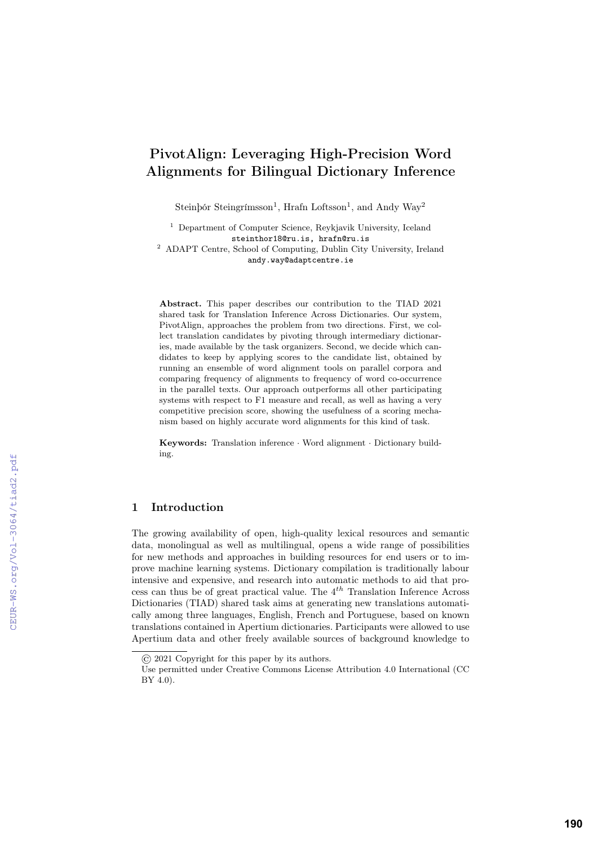# PivotAlign: Leveraging High-Precision Word Alignments for Bilingual Dictionary Inference

Steinþór Steingrímsson<sup>1</sup>, Hrafn Loftsson<sup>1</sup>, and Andy Way<sup>2</sup>

<sup>1</sup> Department of Computer Science, Reykjavik University, Iceland steinthor18@ru.is, hrafn@ru.is <sup>2</sup> ADAPT Centre, School of Computing, Dublin City University, Ireland andy.way@adaptcentre.ie

Abstract. This paper describes our contribution to the TIAD 2021 shared task for Translation Inference Across Dictionaries. Our system, PivotAlign, approaches the problem from two directions. First, we collect translation candidates by pivoting through intermediary dictionaries, made available by the task organizers. Second, we decide which candidates to keep by applying scores to the candidate list, obtained by running an ensemble of word alignment tools on parallel corpora and comparing frequency of alignments to frequency of word co-occurrence in the parallel texts. Our approach outperforms all other participating systems with respect to F1 measure and recall, as well as having a very competitive precision score, showing the usefulness of a scoring mechanism based on highly accurate word alignments for this kind of task.

Keywords: Translation inference · Word alignment · Dictionary building.

## 1 Introduction

The growing availability of open, high-quality lexical resources and semantic data, monolingual as well as multilingual, opens a wide range of possibilities for new methods and approaches in building resources for end users or to improve machine learning systems. Dictionary compilation is traditionally labour intensive and expensive, and research into automatic methods to aid that process can thus be of great practical value. The 4*th* Translation Inference Across Dictionaries (TIAD) shared task aims at generating new translations automatically among three languages, English, French and Portuguese, based on known translations contained in Apertium dictionaries. Participants were allowed to use Apertium data and other freely available sources of background knowledge to

<sup>©</sup> 2021 Copyright for this paper by its authors.

Use permitted under Creative Commons License Attribution 4.0 International (CC BY 4.0).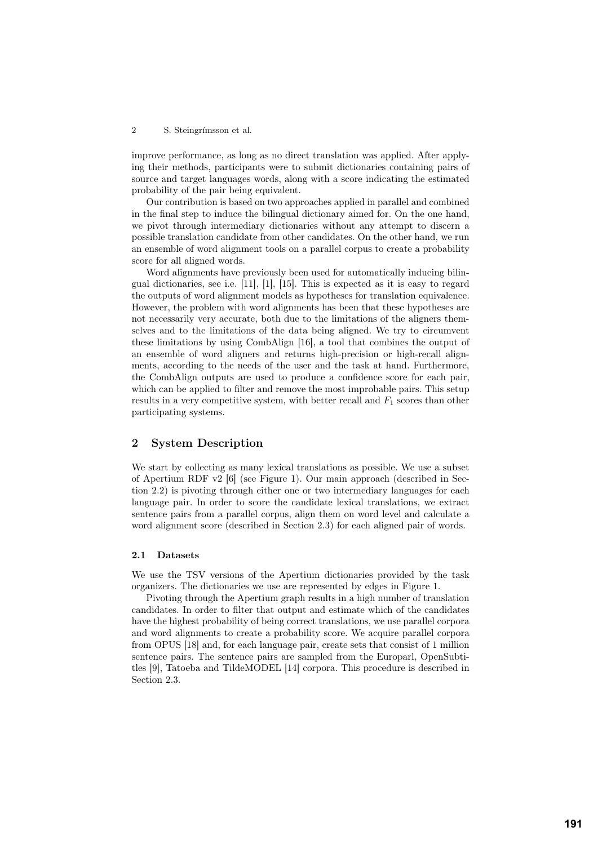improve performance, as long as no direct translation was applied. After applying their methods, participants were to submit dictionaries containing pairs of source and target languages words, along with a score indicating the estimated probability of the pair being equivalent.

Our contribution is based on two approaches applied in parallel and combined in the final step to induce the bilingual dictionary aimed for. On the one hand, we pivot through intermediary dictionaries without any attempt to discern a possible translation candidate from other candidates. On the other hand, we run an ensemble of word alignment tools on a parallel corpus to create a probability score for all aligned words.

Word alignments have previously been used for automatically inducing bilingual dictionaries, see i.e. [11], [1], [15]. This is expected as it is easy to regard the outputs of word alignment models as hypotheses for translation equivalence. However, the problem with word alignments has been that these hypotheses are not necessarily very accurate, both due to the limitations of the aligners themselves and to the limitations of the data being aligned. We try to circumvent these limitations by using CombAlign [16], a tool that combines the output of an ensemble of word aligners and returns high-precision or high-recall alignments, according to the needs of the user and the task at hand. Furthermore, the CombAlign outputs are used to produce a confidence score for each pair, which can be applied to filter and remove the most improbable pairs. This setup results in a very competitive system, with better recall and *F*<sup>1</sup> scores than other participating systems.

## 2 System Description

We start by collecting as many lexical translations as possible. We use a subset of Apertium RDF v2 [6] (see Figure 1). Our main approach (described in Section 2.2) is pivoting through either one or two intermediary languages for each language pair. In order to score the candidate lexical translations, we extract sentence pairs from a parallel corpus, align them on word level and calculate a word alignment score (described in Section 2.3) for each aligned pair of words.

## 2.1 Datasets

We use the TSV versions of the Apertium dictionaries provided by the task organizers. The dictionaries we use are represented by edges in Figure 1.

Pivoting through the Apertium graph results in a high number of translation candidates. In order to filter that output and estimate which of the candidates have the highest probability of being correct translations, we use parallel corpora and word alignments to create a probability score. We acquire parallel corpora from OPUS [18] and, for each language pair, create sets that consist of 1 million sentence pairs. The sentence pairs are sampled from the Europarl, OpenSubtitles [9], Tatoeba and TildeMODEL [14] corpora. This procedure is described in Section 2.3.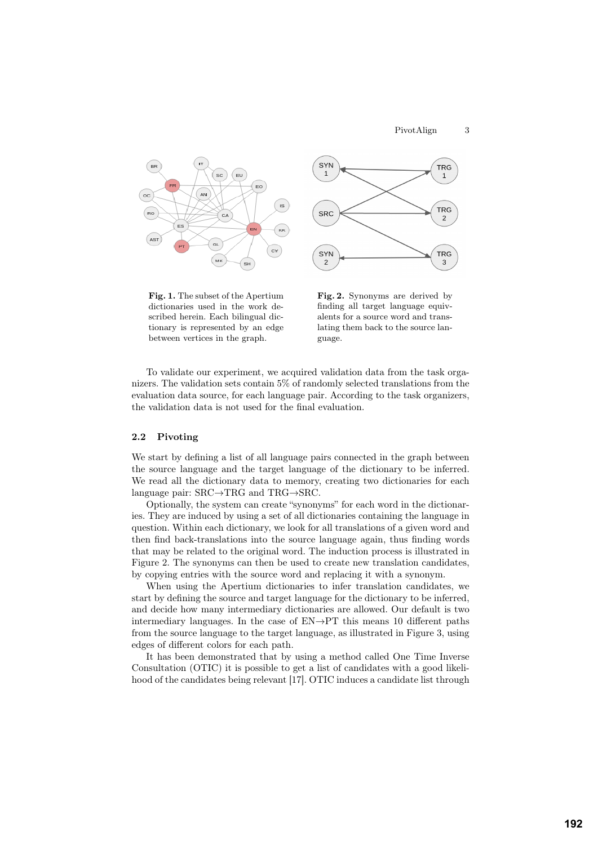

Fig. 1. The subset of the Apertium dictionaries used in the work described herein. Each bilingual dictionary is represented by an edge between vertices in the graph.



Fig. 2. Synonyms are derived by finding all target language equivalents for a source word and translating them back to the source language.

To validate our experiment, we acquired validation data from the task organizers. The validation sets contain 5% of randomly selected translations from the evaluation data source, for each language pair. According to the task organizers, the validation data is not used for the final evaluation.

#### 2.2 Pivoting

We start by defining a list of all language pairs connected in the graph between the source language and the target language of the dictionary to be inferred. We read all the dictionary data to memory, creating two dictionaries for each language pair:  $SRC \rightarrow TRG$  and  $TRG \rightarrow SRC$ .

Optionally, the system can create "synonyms" for each word in the dictionaries. They are induced by using a set of all dictionaries containing the language in question. Within each dictionary, we look for all translations of a given word and then find back-translations into the source language again, thus finding words that may be related to the original word. The induction process is illustrated in Figure 2. The synonyms can then be used to create new translation candidates, by copying entries with the source word and replacing it with a synonym.

When using the Apertium dictionaries to infer translation candidates, we start by defining the source and target language for the dictionary to be inferred, and decide how many intermediary dictionaries are allowed. Our default is two intermediary languages. In the case of  $EN \rightarrow PT$  this means 10 different paths from the source language to the target language, as illustrated in Figure 3, using edges of different colors for each path.

It has been demonstrated that by using a method called One Time Inverse Consultation (OTIC) it is possible to get a list of candidates with a good likelihood of the candidates being relevant [17]. OTIC induces a candidate list through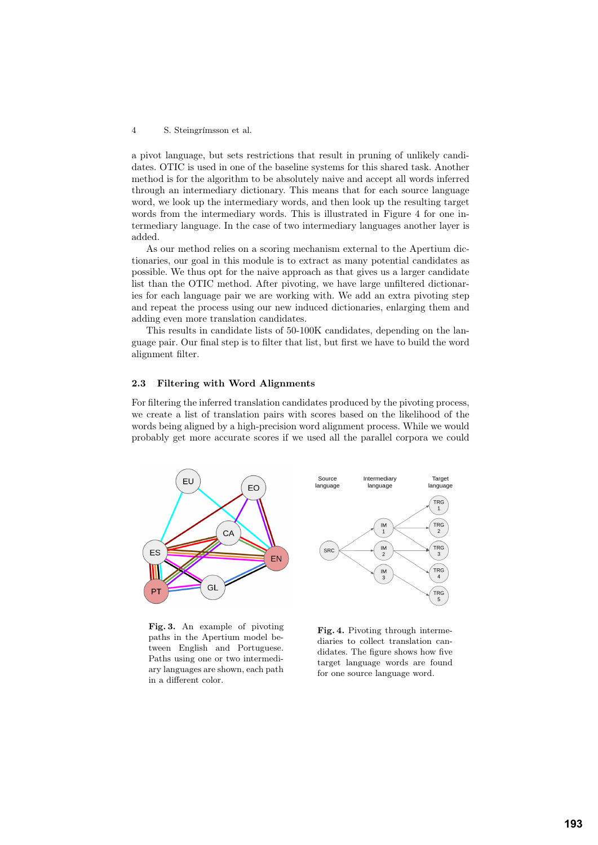a pivot language, but sets restrictions that result in pruning of unlikely candidates. OTIC is used in one of the baseline systems for this shared task. Another method is for the algorithm to be absolutely naive and accept all words inferred through an intermediary dictionary. This means that for each source language word, we look up the intermediary words, and then look up the resulting target words from the intermediary words. This is illustrated in Figure 4 for one intermediary language. In the case of two intermediary languages another layer is added.

As our method relies on a scoring mechanism external to the Apertium dictionaries, our goal in this module is to extract as many potential candidates as possible. We thus opt for the naive approach as that gives us a larger candidate list than the OTIC method. After pivoting, we have large unfiltered dictionaries for each language pair we are working with. We add an extra pivoting step and repeat the process using our new induced dictionaries, enlarging them and adding even more translation candidates.

This results in candidate lists of 50-100K candidates, depending on the language pair. Our final step is to filter that list, but first we have to build the word alignment filter.

## 2.3 Filtering with Word Alignments

For filtering the inferred translation candidates produced by the pivoting process, we create a list of translation pairs with scores based on the likelihood of the words being aligned by a high-precision word alignment process. While we would probably get more accurate scores if we used all the parallel corpora we could



Fig. 3. An example of pivoting paths in the Apertium model between English and Portuguese. Paths using one or two intermediary languages are shown, each path in a different color.

Fig. 4. Pivoting through intermediaries to collect translation candidates. The figure shows how five target language words are found for one source language word.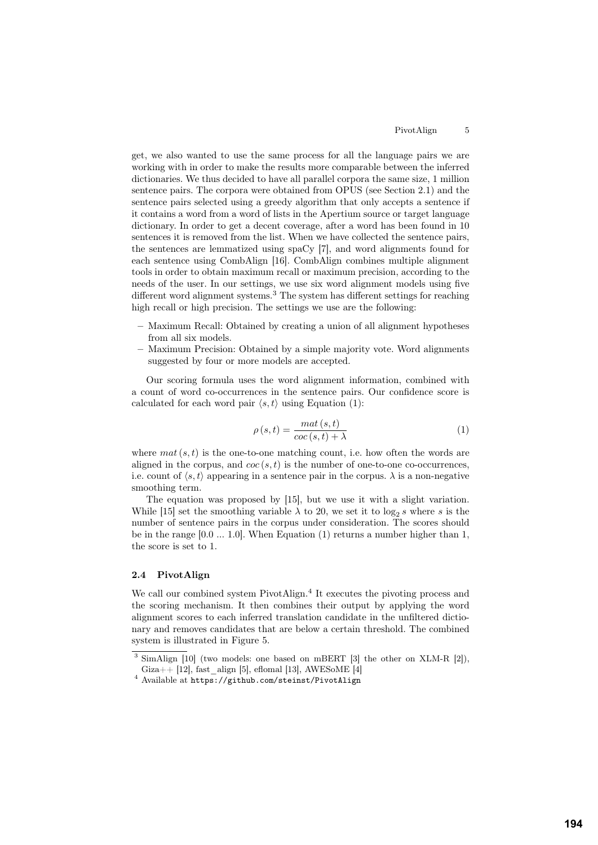get, we also wanted to use the same process for all the language pairs we are working with in order to make the results more comparable between the inferred dictionaries. We thus decided to have all parallel corpora the same size, 1 million sentence pairs. The corpora were obtained from OPUS (see Section 2.1) and the sentence pairs selected using a greedy algorithm that only accepts a sentence if it contains a word from a word of lists in the Apertium source or target language dictionary. In order to get a decent coverage, after a word has been found in 10 sentences it is removed from the list. When we have collected the sentence pairs, the sentences are lemmatized using spaCy [7], and word alignments found for each sentence using CombAlign [16]. CombAlign combines multiple alignment tools in order to obtain maximum recall or maximum precision, according to the needs of the user. In our settings, we use six word alignment models using five different word alignment systems.<sup>3</sup> The system has different settings for reaching high recall or high precision. The settings we use are the following:

- Maximum Recall: Obtained by creating a union of all alignment hypotheses from all six models.
- Maximum Precision: Obtained by a simple majority vote. Word alignments suggested by four or more models are accepted.

Our scoring formula uses the word alignment information, combined with a count of word co-occurrences in the sentence pairs. Our confidence score is calculated for each word pair  $\langle s, t \rangle$  using Equation (1):

$$
\rho(s,t) = \frac{mat(s,t)}{coc(s,t) + \lambda} \tag{1}
$$

where  $mat(s, t)$  is the one-to-one matching count, i.e. how often the words are aligned in the corpus, and  $\cos(s, t)$  is the number of one-to-one co-occurrences, i.e. count of  $\langle s, t \rangle$  appearing in a sentence pair in the corpus.  $\lambda$  is a non-negative smoothing term.

The equation was proposed by [15], but we use it with a slight variation. While [15] set the smoothing variable  $\lambda$  to 20, we set it to log<sub>2</sub> *s* where *s* is the number of sentence pairs in the corpus under consideration. The scores should be in the range [0*.*0 ... 1*.*0]. When Equation (1) returns a number higher than 1, the score is set to 1.

## 2.4 PivotAlign

We call our combined system PivotAlign.<sup>4</sup> It executes the pivoting process and the scoring mechanism. It then combines their output by applying the word alignment scores to each inferred translation candidate in the unfiltered dictionary and removes candidates that are below a certain threshold. The combined system is illustrated in Figure 5.

 $\frac{3}{3}$  SimAlign [10] (two models: one based on mBERT [3] the other on XLM-R [2]), Giza++ [12], fast\_align [5], eflomal [13], AWESoME [4]

<sup>4</sup> Available at https://github.com/steinst/PivotAlign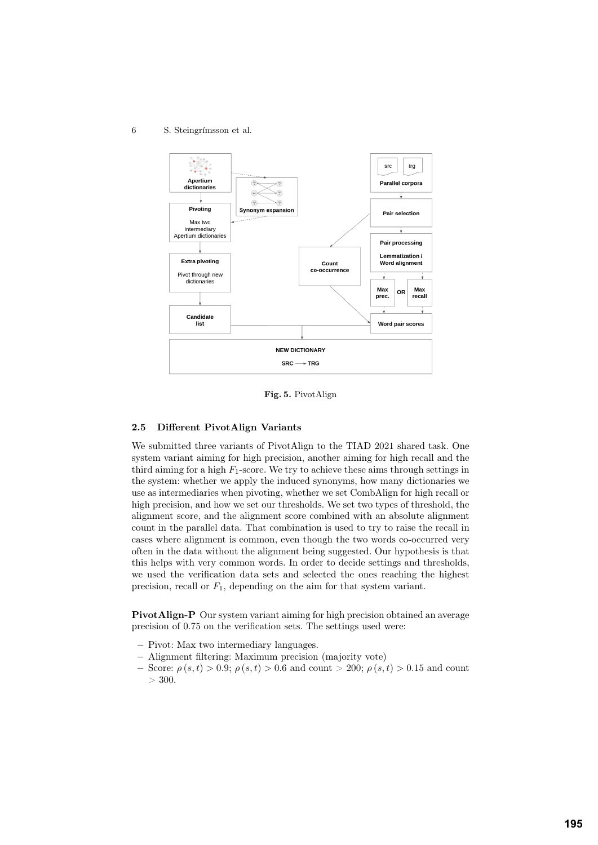6 S. Steingrímsson et al.



Fig. 5. PivotAlign

#### 2.5 Different PivotAlign Variants

We submitted three variants of PivotAlign to the TIAD 2021 shared task. One system variant aiming for high precision, another aiming for high recall and the third aiming for a high  $F_1$ -score. We try to achieve these aims through settings in the system: whether we apply the induced synonyms, how many dictionaries we use as intermediaries when pivoting, whether we set CombAlign for high recall or high precision, and how we set our thresholds. We set two types of threshold, the alignment score, and the alignment score combined with an absolute alignment count in the parallel data. That combination is used to try to raise the recall in cases where alignment is common, even though the two words co-occurred very often in the data without the alignment being suggested. Our hypothesis is that this helps with very common words. In order to decide settings and thresholds, we used the verification data sets and selected the ones reaching the highest precision, recall or  $F_1$ , depending on the aim for that system variant.

PivotAlign-P Our system variant aiming for high precision obtained an average precision of 0*.*75 on the verification sets. The settings used were:

- Pivot: Max two intermediary languages.
- Alignment filtering: Maximum precision (majority vote)
- $-$  Score:  $\rho(s,t) > 0.9$ ;  $\rho(s,t) > 0.6$  and count  $> 200$ ;  $\rho(s,t) > 0.15$  and count  $> 300.$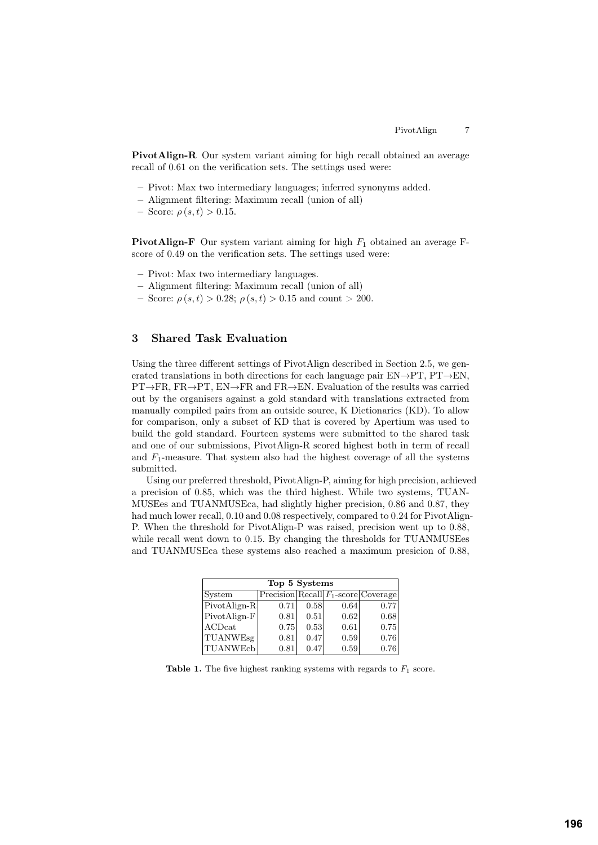PivotAlign-R Our system variant aiming for high recall obtained an average recall of 0*.*61 on the verification sets. The settings used were:

- Pivot: Max two intermediary languages; inferred synonyms added.
- Alignment filtering: Maximum recall (union of all)
- $-$  Score:  $\rho(s, t) > 0.15$ .

PivotAlign-F Our system variant aiming for high *F*<sup>1</sup> obtained an average Fscore of 0*.*49 on the verification sets. The settings used were:

- Pivot: Max two intermediary languages.
- Alignment filtering: Maximum recall (union of all)
- $-$  Score:  $\rho(s,t) > 0.28$ ;  $\rho(s,t) > 0.15$  and count  $> 200$ .

# 3 Shared Task Evaluation

Using the three different settings of PivotAlign described in Section 2.5, we generated translations in both directions for each language pair  $EN \rightarrow PT$ ,  $PT \rightarrow EN$ ,  $PT \rightarrow FR$ ,  $FR \rightarrow PT$ ,  $EN \rightarrow FR$  and  $FR \rightarrow EN$ . Evaluation of the results was carried out by the organisers against a gold standard with translations extracted from manually compiled pairs from an outside source, K Dictionaries (KD). To allow for comparison, only a subset of KD that is covered by Apertium was used to build the gold standard. Fourteen systems were submitted to the shared task and one of our submissions, PivotAlign-R scored highest both in term of recall and *F*1-measure. That system also had the highest coverage of all the systems submitted.

Using our preferred threshold, PivotAlign-P, aiming for high precision, achieved a precision of 0*.*85, which was the third highest. While two systems, TUAN-MUSEes and TUANMUSEca, had slightly higher precision, 0*.*86 and 0*.*87, they had much lower recall, 0*.*10 and 0*.*08 respectively, compared to 0*.*24 for PivotAlign-P. When the threshold for PivotAlign-P was raised, precision went up to 0*.*88, while recall went down to 0.15. By changing the thresholds for TUANMUSEes and TUANMUSEca these systems also reached a maximum presicion of 0.88,

| Top 5 Systems                |      |      |      |                                              |
|------------------------------|------|------|------|----------------------------------------------|
| System                       |      |      |      | $Precision   Recall   F_1-score   Coverage $ |
| $\vert$ PivotAlign-R $\vert$ | 0.71 | 0.58 | 0.64 | 0.77                                         |
| PivotAlign-F                 | 0.81 | 0.51 | 0.62 | 0.68                                         |
| ACDcat                       | 0.75 | 0.53 | 0.61 | 0.75                                         |
| <b>TUANWEsg</b>              | 0.81 | 0.47 | 0.59 | 0.76                                         |
| <b>TUANWEcb</b>              | 0.81 | 0.47 | 0.59 | 0.76                                         |

**Table 1.** The five highest ranking systems with regards to  $F_1$  score.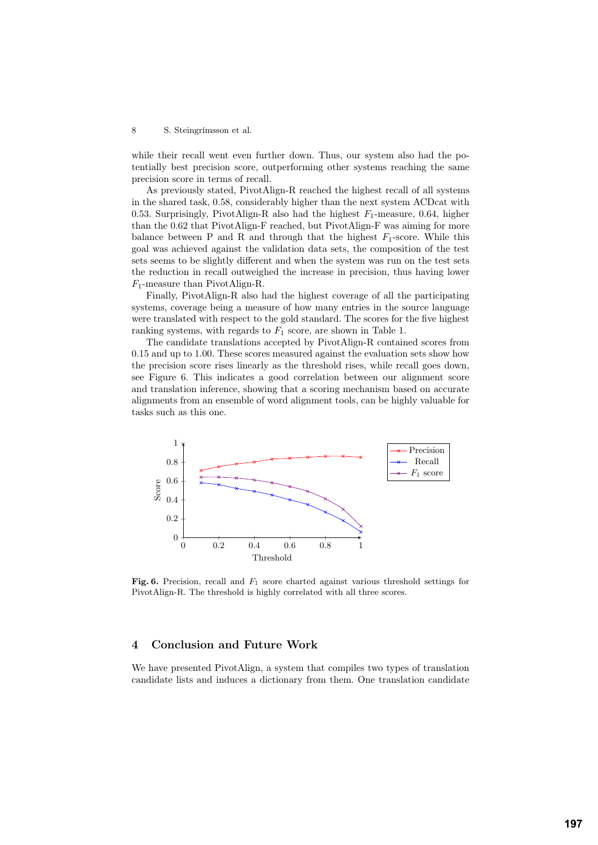while their recall went even further down. Thus, our system also had the potentially best precision score, outperforming other systems reaching the same precision score in terms of recall.

As previously stated, PivotAlign-R reached the highest recall of all systems in the shared task, 0*.*58, considerably higher than the next system ACDcat with 0.53. Surprisingly, PivotAlign-R also had the highest  $F_1$ -measure, 0.64, higher than the 0*.*62 that PivotAlign-F reached, but PivotAlign-F was aiming for more balance between P and R and through that the highest  $F_1$ -score. While this goal was achieved against the validation data sets, the composition of the test sets seems to be slightly different and when the system was run on the test sets the reduction in recall outweighed the increase in precision, thus having lower *F*1-measure than PivotAlign-R.

Finally, PivotAlign-R also had the highest coverage of all the participating systems, coverage being a measure of how many entries in the source language were translated with respect to the gold standard. The scores for the five highest ranking systems, with regards to  $F_1$  score, are shown in Table 1.

The candidate translations accepted by PivotAlign-R contained scores from 0*.*15 and up to 1*.*00. These scores measured against the evaluation sets show how the precision score rises linearly as the threshold rises, while recall goes down, see Figure 6. This indicates a good correlation between our alignment score and translation inference, showing that a scoring mechanism based on accurate alignments from an ensemble of word alignment tools, can be highly valuable for tasks such as this one.



Fig. 6. Precision, recall and  $F_1$  score charted against various threshold settings for PivotAlign-R. The threshold is highly correlated with all three scores.

## 4 Conclusion and Future Work

We have presented PivotAlign, a system that compiles two types of translation candidate lists and induces a dictionary from them. One translation candidate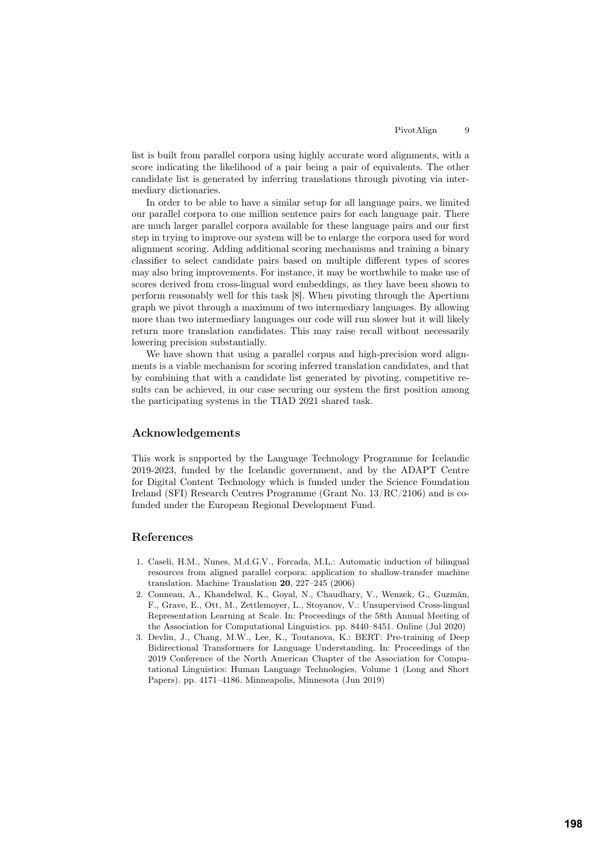list is built from parallel corpora using highly accurate word alignments, with a score indicating the likelihood of a pair being a pair of equivalents. The other candidate list is generated by inferring translations through pivoting via intermediary dictionaries.

In order to be able to have a similar setup for all language pairs, we limited our parallel corpora to one million sentence pairs for each language pair. There are much larger parallel corpora available for these language pairs and our first step in trying to improve our system will be to enlarge the corpora used for word alignment scoring. Adding additional scoring mechanisms and training a binary classifier to select candidate pairs based on multiple different types of scores may also bring improvements. For instance, it may be worthwhile to make use of scores derived from cross-lingual word embeddings, as they have been shown to perform reasonably well for this task [8]. When pivoting through the Apertium graph we pivot through a maximum of two intermediary languages. By allowing more than two intermediary languages our code will run slower but it will likely return more translation candidates. This may raise recall without necessarily lowering precision substantially.

We have shown that using a parallel corpus and high-precision word alignments is a viable mechanism for scoring inferred translation candidates, and that by combining that with a candidate list generated by pivoting, competitive results can be achieved, in our case securing our system the first position among the participating systems in the TIAD 2021 shared task.

## Acknowledgements

This work is supported by the Language Technology Programme for Icelandic 2019-2023, funded by the Icelandic government, and by the ADAPT Centre for Digital Content Technology which is funded under the Science Foundation Ireland (SFI) Research Centres Programme (Grant No. 13/RC/2106) and is cofunded under the European Regional Development Fund.

# References

- 1. Caseli, H.M., Nunes, M.d.G.V., Forcada, M.L.: Automatic induction of bilingual resources from aligned parallel corpora: application to shallow-transfer machine translation. Machine Translation 20, 227–245 (2006)
- 2. Conneau, A., Khandelwal, K., Goyal, N., Chaudhary, V., Wenzek, G., Guzmán, F., Grave, E., Ott, M., Zettlemoyer, L., Stoyanov, V.: Unsupervised Cross-lingual Representation Learning at Scale. In: Proceedings of the 58th Annual Meeting of the Association for Computational Linguistics. pp. 8440–8451. Online (Jul 2020)
- 3. Devlin, J., Chang, M.W., Lee, K., Toutanova, K.: BERT: Pre-training of Deep Bidirectional Transformers for Language Understanding. In: Proceedings of the 2019 Conference of the North American Chapter of the Association for Computational Linguistics: Human Language Technologies, Volume 1 (Long and Short Papers). pp. 4171–4186. Minneapolis, Minnesota (Jun 2019)